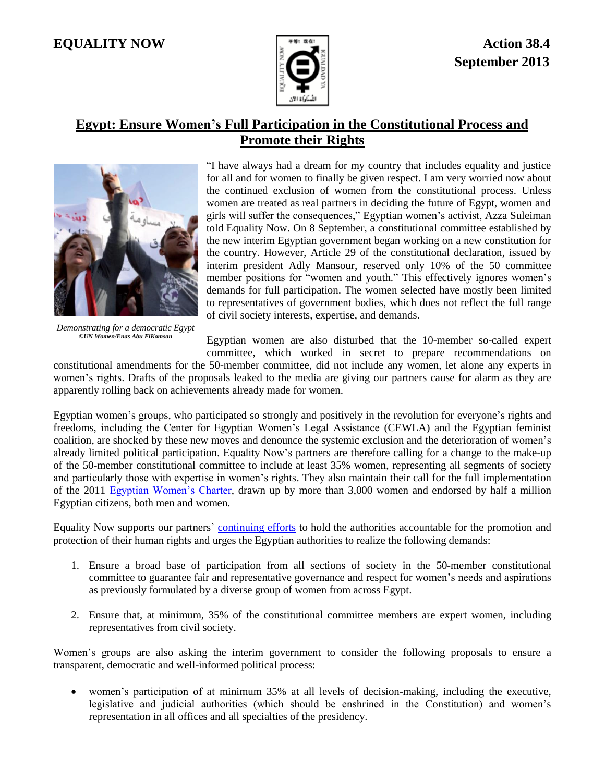## **EQUALITY NOW Action 38.4**



## **Egypt: Ensure Women's Full Participation in the Constitutional Process and Promote their Rights**



*Demonstrating for a democratic Egypt ©UN Women/Enas Abu ElKomsan*

"I have always had a dream for my country that includes equality and justice for all and for women to finally be given respect. I am very worried now about the continued exclusion of women from the constitutional process. Unless women are treated as real partners in deciding the future of Egypt, women and girls will suffer the consequences," Egyptian women's activist, Azza Suleiman told Equality Now. On 8 September, a constitutional committee established by the new interim Egyptian government began working on a new constitution for the country. However, Article 29 of the constitutional declaration, issued by interim president Adly Mansour, reserved only 10% of the 50 committee member positions for "women and youth." This effectively ignores women's demands for full participation. The women selected have mostly been limited to representatives of government bodies, which does not reflect the full range of civil society interests, expertise, and demands.

Egyptian women are also disturbed that the 10-member so-called expert committee, which worked in secret to prepare recommendations on

constitutional amendments for the 50-member committee, did not include any women, let alone any experts in women's rights. Drafts of the proposals leaked to the media are giving our partners cause for alarm as they are apparently rolling back on achievements already made for women.

Egyptian women's groups, who participated so strongly and positively in the revolution for everyone's rights and freedoms, including the Center for Egyptian Women's Legal Assistance (CEWLA) and the Egyptian feminist coalition, are shocked by these new moves and denounce the systemic exclusion and the deterioration of women's already limited political participation. Equality Now's partners are therefore calling for a change to the make-up of the 50-member constitutional committee to include at least 35% women, representing all segments of society and particularly those with expertise in women's rights. They also maintain their call for the full implementation of the 2011 [Egyptian Women's Charter,](http://www.unwomen.org/~/media/Headquarters/Media/Stories/en/charteregyptianwomenenpdf.pdf) drawn up by more than 3,000 women and endorsed by half a million Egyptian citizens, both men and women.

Equality Now supports our partners' [continuing efforts](http://www.equalitynow.org/take_action/discrimination_in_law_action381) to hold the authorities accountable for the promotion and protection of their human rights and urges the Egyptian authorities to realize the following demands:

- 1. Ensure a broad base of participation from all sections of society in the 50-member constitutional committee to guarantee fair and representative governance and respect for women's needs and aspirations as previously formulated by a diverse group of women from across Egypt.
- 2. Ensure that, at minimum, 35% of the constitutional committee members are expert women, including representatives from civil society.

Women's groups are also asking the interim government to consider the following proposals to ensure a transparent, democratic and well-informed political process:

 women's participation of at minimum 35% at all levels of decision-making, including the executive, legislative and judicial authorities (which should be enshrined in the Constitution) and women's representation in all offices and all specialties of the presidency.